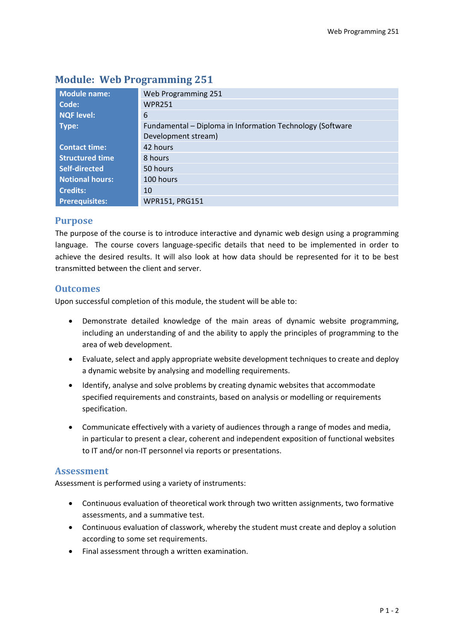| <b>Module name:</b>    | Web Programming 251                                       |  |  |  |
|------------------------|-----------------------------------------------------------|--|--|--|
| Code:                  | <b>WPR251</b>                                             |  |  |  |
| <b>NQF level:</b>      | 6                                                         |  |  |  |
| Type:                  | Fundamental - Diploma in Information Technology (Software |  |  |  |
|                        | Development stream)                                       |  |  |  |
| <b>Contact time:</b>   | 42 hours                                                  |  |  |  |
| <b>Structured time</b> | 8 hours                                                   |  |  |  |
| Self-directed          | 50 hours                                                  |  |  |  |
| <b>Notional hours:</b> | 100 hours                                                 |  |  |  |
| <b>Credits:</b>        | 10                                                        |  |  |  |
| <b>Prerequisites:</b>  | WPR151, PRG151                                            |  |  |  |

# **Module: Web Programming 251**

# **Purpose**

The purpose of the course is to introduce interactive and dynamic web design using a programming language. The course covers language-specific details that need to be implemented in order to achieve the desired results. It will also look at how data should be represented for it to be best transmitted between the client and server.

# **Outcomes**

Upon successful completion of this module, the student will be able to:

- Demonstrate detailed knowledge of the main areas of dynamic website programming, including an understanding of and the ability to apply the principles of programming to the area of web development.
- Evaluate, select and apply appropriate website development techniques to create and deploy a dynamic website by analysing and modelling requirements.
- Identify, analyse and solve problems by creating dynamic websites that accommodate specified requirements and constraints, based on analysis or modelling or requirements specification.
- Communicate effectively with a variety of audiences through a range of modes and media, in particular to present a clear, coherent and independent exposition of functional websites to IT and/or non-IT personnel via reports or presentations.

# **Assessment**

Assessment is performed using a variety of instruments:

- Continuous evaluation of theoretical work through two written assignments, two formative assessments, and a summative test.
- Continuous evaluation of classwork, whereby the student must create and deploy a solution according to some set requirements.
- Final assessment through a written examination.